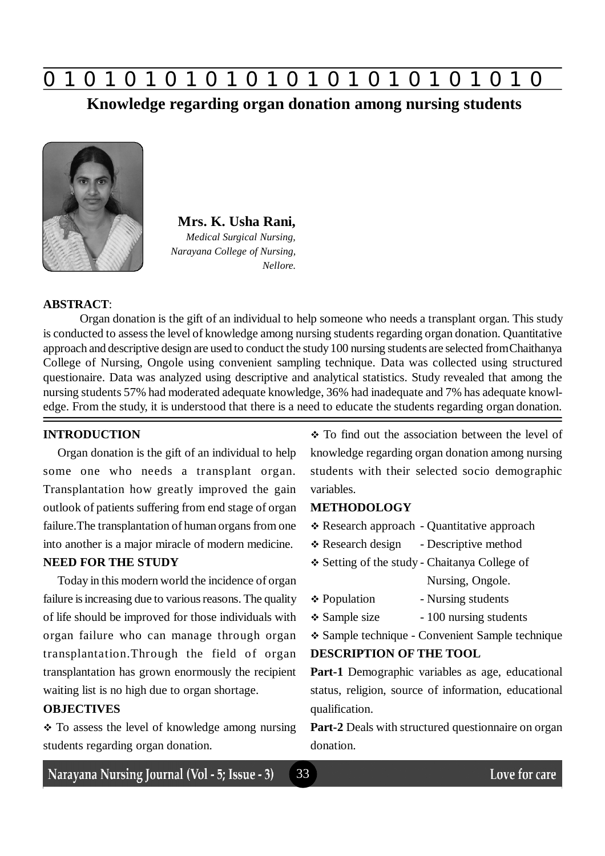

**Knowledge regarding organ donation among nursing students**



**Mrs. K. Usha Rani,** *Medical Surgical Nursing, Narayana College of Nursing, Nellore.*

#### **ABSTRACT**:

Organ donation is the gift of an individual to help someone who needs a transplant organ. This study is conducted to assess the level of knowledge among nursing students regarding organ donation. Quantitative approach and descriptive design are used to conduct the study 100 nursing students are selected from Chaithanya College of Nursing, Ongole using convenient sampling technique. Data was collected using structured questionaire. Data was analyzed using descriptive and analytical statistics. Study revealed that among the nursing students 57% had moderated adequate knowledge, 36% had inadequate and 7% has adequate knowledge. From the study, it is understood that there is a need to educate the students regarding organ donation.

33

#### **INTRODUCTION**

Organ donation is the gift of an individual to help some one who needs a transplant organ. Transplantation how greatly improved the gain outlook of patients suffering from end stage of organ failure.The transplantation of human organs from one into another is a major miracle of modern medicine.

## **NEED FOR THE STUDY**

Today in this modern world the incidence of organ failure is increasing due to various reasons. The quality of life should be improved for those individuals with organ failure who can manage through organ transplantation.Through the field of organ transplantation has grown enormously the recipient waiting list is no high due to organ shortage.

## **OBJECTIVES**

• To assess the level of knowledge among nursing students regarding organ donation.

• To find out the association between the level of knowledge regarding organ donation among nursing students with their selected socio demographic variables.

#### **METHODOLOGY**

- Research approach Quantitative approach
- \* Research design Descriptive method
- Setting of the study Chaitanya College of Nursing, Ongole.
- ❖ Population Nursing students
- $\div$  Sample size 100 nursing students
- Sample technique Convenient Sample technique

#### **DESCRIPTION OF THE TOOL**

**Part-1** Demographic variables as age, educational status, religion, source of information, educational qualification.

**Part-2** Deals with structured questionnaire on organ donation.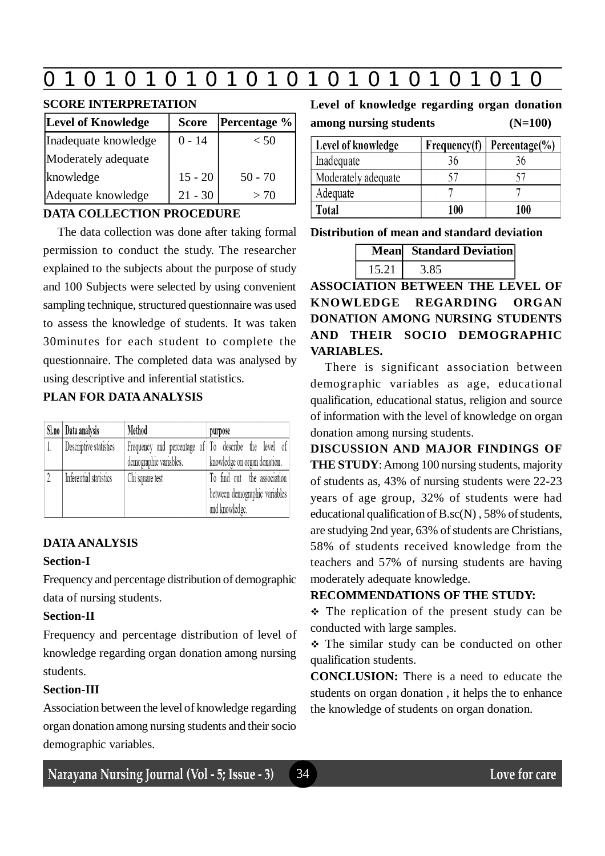# **0 z 0 z 0 z 0 z 0 z 0 z 0 z 0 z 0 z 0 z 0 z 0 z 0**

## **SCORE INTERPRETATION**

| Level of Knowledge   | <b>Score</b> | <b>Percentage</b> % |  |  |  |
|----------------------|--------------|---------------------|--|--|--|
| Inadequate knowledge | $0 - 14$     | < 50                |  |  |  |
| Moderately adequate  |              |                     |  |  |  |
| knowledge            | $15 - 20$    | $50 - 70$           |  |  |  |
| Adequate knowledge   | $21 - 30$    | $>$ 70              |  |  |  |

## **DATA COLLECTION PROCEDURE**

The data collection was done after taking formal permission to conduct the study. The researcher explained to the subjects about the purpose of study and 100 Subjects were selected by using convenient sampling technique, structured questionnaire was used to assess the knowledge of students. It was taken 30minutes for each student to complete the questionnaire. The completed data was analysed by using descriptive and inferential statistics.

## **PLAN FOR DATA ANALYSIS**

| Sl.no   Data analysis  | Method                                               | purpose                       |  |  |  |  |  |
|------------------------|------------------------------------------------------|-------------------------------|--|--|--|--|--|
| Descriptive statistics | Frequency and percentage of To describe the level of |                               |  |  |  |  |  |
|                        | demographic variables.                               | knowledge on organ donation.  |  |  |  |  |  |
| Inferential statistics | Chi square test                                      | To find out the association   |  |  |  |  |  |
|                        |                                                      | between demographic variables |  |  |  |  |  |
|                        |                                                      | and knowledge.                |  |  |  |  |  |

# **DATA ANALYSIS**

## **Section-I**

Frequency and percentage distribution of demographic data of nursing students.

# **Section-II**

Frequency and percentage distribution of level of knowledge regarding organ donation among nursing students.

# **Section-III**

Association between the level of knowledge regarding organ donation among nursing students and their socio demographic variables.

34

**Level of knowledge regarding organ donation among nursing students (N=100)**

| Level of knowledge  | Frequency(f) | Percentage $(\% )$ |  |  |
|---------------------|--------------|--------------------|--|--|
| Inadequate          | 36           |                    |  |  |
| Moderately adequate |              |                    |  |  |
| Adequate            |              |                    |  |  |
| Total               | 100          | 100                |  |  |

**Distribution of mean and standard deviation**

|       | <b>Mean</b> Standard Deviation |
|-------|--------------------------------|
| 15.21 |                                |

**ASSOCIATION BETWEEN THE LEVEL OF KNOWLEDGE REGARDING ORGAN DONATION AMONG NURSING STUDENTS AND THEIR SOCIO DEMOGRAPHIC VARIABLES.**

There is significant association between demographic variables as age, educational qualification, educational status, religion and source of information with the level of knowledge on organ donation among nursing students.

**DISCUSSION AND MAJOR FINDINGS OF THE STUDY**: Among 100 nursing students, majority of students as, 43% of nursing students were 22-23 years of age group, 32% of students were had educational qualification of B.sc(N) , 58% of students, are studying 2nd year, 63% of students are Christians, 58% of students received knowledge from the teachers and 57% of nursing students are having moderately adequate knowledge.

# **RECOMMENDATIONS OF THE STUDY:**

 $\div$  The replication of the present study can be conducted with large samples.

\* The similar study can be conducted on other qualification students.

**CONCLUSION:** There is a need to educate the students on organ donation , it helps the to enhance the knowledge of students on organ donation.